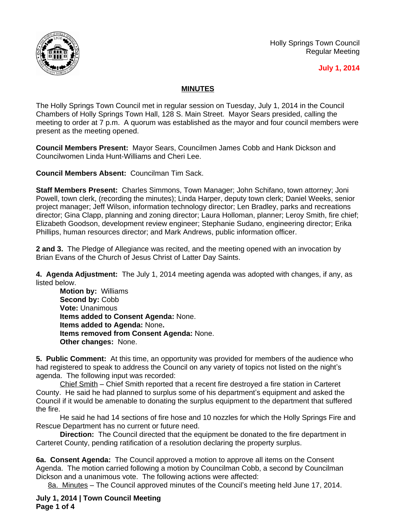

Holly Springs Town Council Regular Meeting

## **July 1, 2014**

## **MINUTES**

The Holly Springs Town Council met in regular session on Tuesday, July 1, 2014 in the Council Chambers of Holly Springs Town Hall, 128 S. Main Street. Mayor Sears presided, calling the meeting to order at 7 p.m. A quorum was established as the mayor and four council members were present as the meeting opened.

**Council Members Present:** Mayor Sears, Councilmen James Cobb and Hank Dickson and Councilwomen Linda Hunt-Williams and Cheri Lee.

**Council Members Absent:** Councilman Tim Sack.

**Staff Members Present:** Charles Simmons, Town Manager; John Schifano, town attorney; Joni Powell, town clerk, (recording the minutes); Linda Harper, deputy town clerk; Daniel Weeks, senior project manager; Jeff Wilson, information technology director; Len Bradley, parks and recreations director; Gina Clapp, planning and zoning director; Laura Holloman, planner; Leroy Smith, fire chief; Elizabeth Goodson, development review engineer; Stephanie Sudano, engineering director; Erika Phillips, human resources director; and Mark Andrews, public information officer.

**2 and 3.** The Pledge of Allegiance was recited, and the meeting opened with an invocation by Brian Evans of the Church of Jesus Christ of Latter Day Saints.

**4. Agenda Adjustment:** The July 1, 2014 meeting agenda was adopted with changes, if any, as listed below.

**Motion by:** Williams **Second by:** Cobb **Vote:** Unanimous **Items added to Consent Agenda:** None. **Items added to Agenda:** None**. Items removed from Consent Agenda:** None. **Other changes:** None.

**5. Public Comment:** At this time, an opportunity was provided for members of the audience who had registered to speak to address the Council on any variety of topics not listed on the night's agenda. The following input was recorded:

Chief Smith – Chief Smith reported that a recent fire destroyed a fire station in Carteret County. He said he had planned to surplus some of his department's equipment and asked the Council if it would be amenable to donating the surplus equipment to the department that suffered the fire.

He said he had 14 sections of fire hose and 10 nozzles for which the Holly Springs Fire and Rescue Department has no current or future need.

**Direction:** The Council directed that the equipment be donated to the fire department in Carteret County, pending ratification of a resolution declaring the property surplus.

**6a. Consent Agenda:** The Council approved a motion to approve all items on the Consent Agenda. The motion carried following a motion by Councilman Cobb, a second by Councilman Dickson and a unanimous vote. The following actions were affected:

8a. Minutes – The Council approved minutes of the Council's meeting held June 17, 2014.

**July 1, 2014 | Town Council Meeting Page 1 of 4**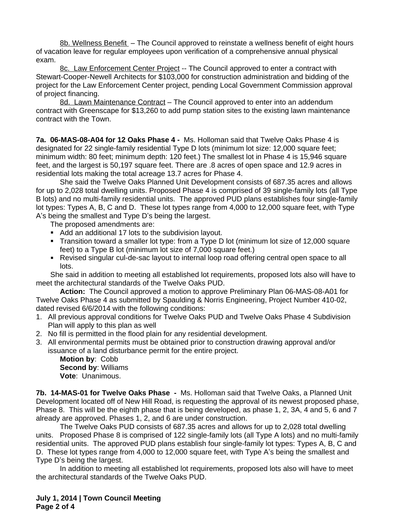8b. Wellness Benefit – The Council approved to reinstate a wellness benefit of eight hours of vacation leave for regular employees upon verification of a comprehensive annual physical exam.

8c. Law Enforcement Center Project -- The Council approved to enter a contract with Stewart-Cooper-Newell Architects for \$103,000 for construction administration and bidding of the project for the Law Enforcement Center project, pending Local Government Commission approval of project financing.

8d. Lawn Maintenance Contract – The Council approved to enter into an addendum contract with Greenscape for \$13,260 to add pump station sites to the existing lawn maintenance contract with the Town.

**7a. 06-MAS-08-A04 for 12 Oaks Phase 4 -** Ms. Holloman said that Twelve Oaks Phase 4 is designated for 22 single-family residential Type D lots (minimum lot size: 12,000 square feet; minimum width: 80 feet; minimum depth: 120 feet.) The smallest lot in Phase 4 is 15,946 square feet, and the largest is 50,197 square feet. There are .8 acres of open space and 12.9 acres in residential lots making the total acreage 13.7 acres for Phase 4.

She said the Twelve Oaks Planned Unit Development consists of 687.35 acres and allows for up to 2,028 total dwelling units. Proposed Phase 4 is comprised of 39 single-family lots (all Type B lots) and no multi-family residential units. The approved PUD plans establishes four single-family lot types: Types A, B, C and D. These lot types range from 4,000 to 12,000 square feet, with Type A's being the smallest and Type D's being the largest.

The proposed amendments are:

- Add an additional 17 lots to the subdivision layout.
- Transition toward a smaller lot type: from a Type D lot (minimum lot size of 12,000 square feet) to a Type B lot (minimum lot size of 7,000 square feet.)
- Revised singular cul-de-sac layout to internal loop road offering central open space to all lots.

She said in addition to meeting all established lot requirements, proposed lots also will have to meet the architectural standards of the Twelve Oaks PUD.

**Action:** The Council approved a motion to approve Preliminary Plan 06-MAS-08-A01 for Twelve Oaks Phase 4 as submitted by Spaulding & Norris Engineering, Project Number 410-02, dated revised 6/6/2014 with the following conditions:

- 1. All previous approval conditions for Twelve Oaks PUD and Twelve Oaks Phase 4 Subdivision Plan will apply to this plan as well
- 2. No fill is permitted in the flood plain for any residential development.
- 3. All environmental permits must be obtained prior to construction drawing approval and/or issuance of a land disturbance permit for the entire project.

**Motion by**: Cobb **Second by**: Williams **Vote**: Unanimous.

**7b. 14-MAS-01 for Twelve Oaks Phase -** Ms. Holloman said that Twelve Oaks, a Planned Unit Development located off of New Hill Road, is requesting the approval of its newest proposed phase, Phase 8. This will be the eighth phase that is being developed, as phase 1, 2, 3A, 4 and 5, 6 and 7 already are approved. Phases 1, 2, and 6 are under construction.

The Twelve Oaks PUD consists of 687.35 acres and allows for up to 2,028 total dwelling units. Proposed Phase 8 is comprised of 122 single-family lots (all Type A lots) and no multi-family residential units. The approved PUD plans establish four single-family lot types: Types A, B, C and D. These lot types range from 4,000 to 12,000 square feet, with Type A's being the smallest and Type D's being the largest.

In addition to meeting all established lot requirements, proposed lots also will have to meet the architectural standards of the Twelve Oaks PUD.

**July 1, 2014 | Town Council Meeting Page 2 of 4**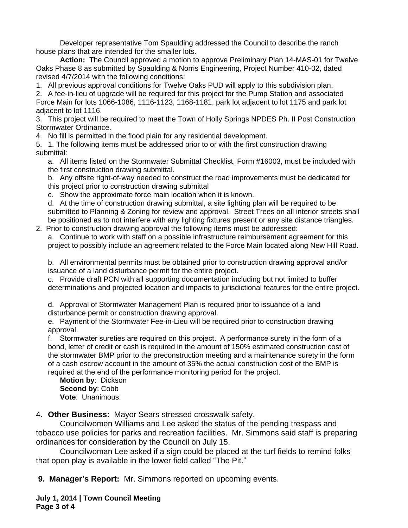Developer representative Tom Spaulding addressed the Council to describe the ranch house plans that are intended for the smaller lots.

**Action:** The Council approved a motion to approve Preliminary Plan 14-MAS-01 for Twelve Oaks Phase 8 as submitted by Spaulding & Norris Engineering, Project Number 410-02, dated revised 4/7/2014 with the following conditions:

1. All previous approval conditions for Twelve Oaks PUD will apply to this subdivision plan. 2. A fee-in-lieu of upgrade will be required for this project for the Pump Station and associated Force Main for lots 1066-1086, 1116-1123, 1168-1181, park lot adjacent to lot 1175 and park lot adjacent to lot 1116.

3. This project will be required to meet the Town of Holly Springs NPDES Ph. II Post Construction Stormwater Ordinance.

4. No fill is permitted in the flood plain for any residential development.

5. 1. The following items must be addressed prior to or with the first construction drawing submittal:

a. All items listed on the Stormwater Submittal Checklist, Form #16003, must be included with the first construction drawing submittal.

b. Any offsite right-of-way needed to construct the road improvements must be dedicated for this project prior to construction drawing submittal

c. Show the approximate force main location when it is known.

d. At the time of construction drawing submittal, a site lighting plan will be required to be submitted to Planning & Zoning for review and approval. Street Trees on all interior streets shall be positioned as to not interfere with any lighting fixtures present or any site distance triangles.

2. Prior to construction drawing approval the following items must be addressed: a. Continue to work with staff on a possible infrastructure reimbursement agreement for this project to possibly include an agreement related to the Force Main located along New Hill Road.

b. All environmental permits must be obtained prior to construction drawing approval and/or issuance of a land disturbance permit for the entire project.

c. Provide draft PCN with all supporting documentation including but not limited to buffer determinations and projected location and impacts to jurisdictional features for the entire project.

d. Approval of Stormwater Management Plan is required prior to issuance of a land disturbance permit or construction drawing approval.

e. Payment of the Stormwater Fee-in-Lieu will be required prior to construction drawing approval.

f. Stormwater sureties are required on this project. A performance surety in the form of a bond, letter of credit or cash is required in the amount of 150% estimated construction cost of the stormwater BMP prior to the preconstruction meeting and a maintenance surety in the form of a cash escrow account in the amount of 35% the actual construction cost of the BMP is required at the end of the performance monitoring period for the project.

**Motion by**: Dickson **Second by**: Cobb **Vote**: Unanimous.

4. **Other Business:** Mayor Sears stressed crosswalk safety.

Councilwomen Williams and Lee asked the status of the pending trespass and tobacco use policies for parks and recreation facilities. Mr. Simmons said staff is preparing ordinances for consideration by the Council on July 15.

Councilwoman Lee asked if a sign could be placed at the turf fields to remind folks that open play is available in the lower field called "The Pit."

**9. Manager's Report:** Mr. Simmons reported on upcoming events.

**July 1, 2014 | Town Council Meeting Page 3 of 4**